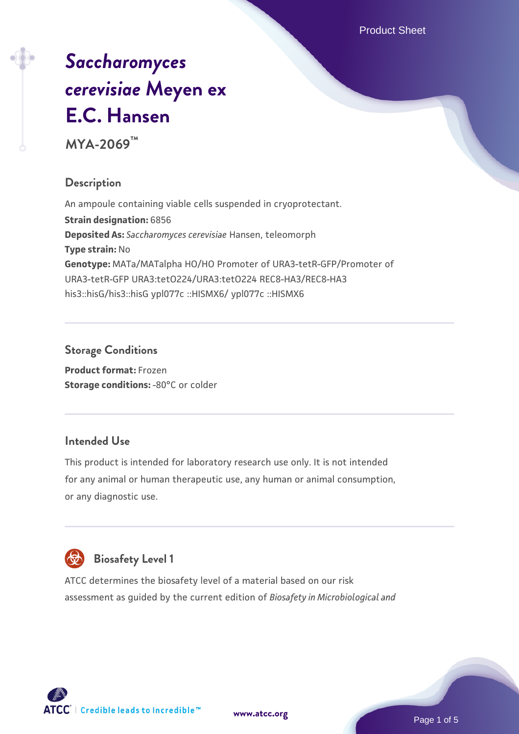Product Sheet

# *[Saccharomyces](https://www.atcc.org/products/mya-2069) [cerevisiae](https://www.atcc.org/products/mya-2069)* **[Meyen ex](https://www.atcc.org/products/mya-2069) [E.C. Hansen](https://www.atcc.org/products/mya-2069)**

**MYA-2069™**

# **Description**

An ampoule containing viable cells suspended in cryoprotectant. **Strain designation:** 6856 **Deposited As:** *Saccharomyces cerevisiae* Hansen, teleomorph **Type strain:** No **Genotype:** MATa/MATalpha HO/HO Promoter of URA3-tetR-GFP/Promoter of URA3-tetR-GFP URA3:tetO224/URA3:tetO224 REC8-HA3/REC8-HA3 his3::hisG/his3::hisG ypl077c ::HISMX6/ ypl077c ::HISMX6

# **Storage Conditions**

**Product format:** Frozen **Storage conditions: -80°C or colder** 

# **Intended Use**

This product is intended for laboratory research use only. It is not intended for any animal or human therapeutic use, any human or animal consumption, or any diagnostic use.



# **Biosafety Level 1**

ATCC determines the biosafety level of a material based on our risk assessment as guided by the current edition of *Biosafety in Microbiological and*

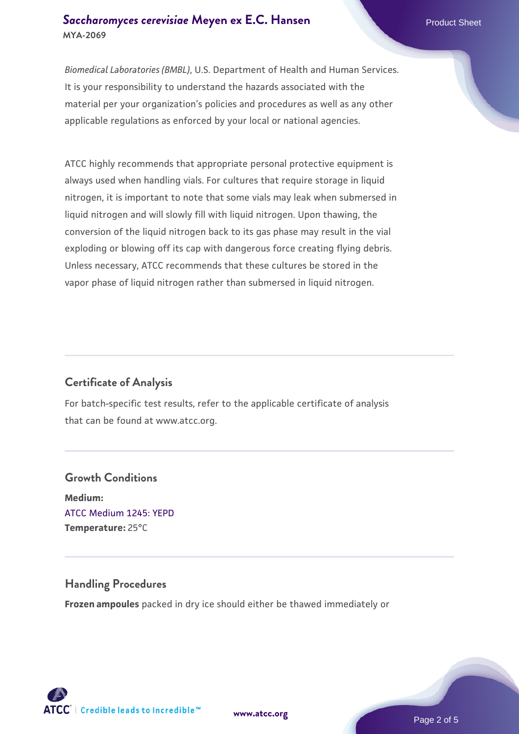#### **[Saccharomyces cerevisiae](https://www.atcc.org/products/mya-2069)** [Meyen ex E.C. Hansen](https://www.atcc.org/products/mya-2069) **MYA-2069**

*Biomedical Laboratories (BMBL)*, U.S. Department of Health and Human Services. It is your responsibility to understand the hazards associated with the material per your organization's policies and procedures as well as any other applicable regulations as enforced by your local or national agencies.

ATCC highly recommends that appropriate personal protective equipment is always used when handling vials. For cultures that require storage in liquid nitrogen, it is important to note that some vials may leak when submersed in liquid nitrogen and will slowly fill with liquid nitrogen. Upon thawing, the conversion of the liquid nitrogen back to its gas phase may result in the vial exploding or blowing off its cap with dangerous force creating flying debris. Unless necessary, ATCC recommends that these cultures be stored in the vapor phase of liquid nitrogen rather than submersed in liquid nitrogen.

# **Certificate of Analysis**

For batch-specific test results, refer to the applicable certificate of analysis that can be found at www.atcc.org.

# **Growth Conditions Medium:**  [ATCC Medium 1245: YEPD](https://www.atcc.org/-/media/product-assets/documents/microbial-media-formulations/1/2/4/5/atcc-medium-1245.pdf?rev=705ca55d1b6f490a808a965d5c072196) **Temperature:** 25°C

#### **Handling Procedures**

**Frozen ampoules** packed in dry ice should either be thawed immediately or



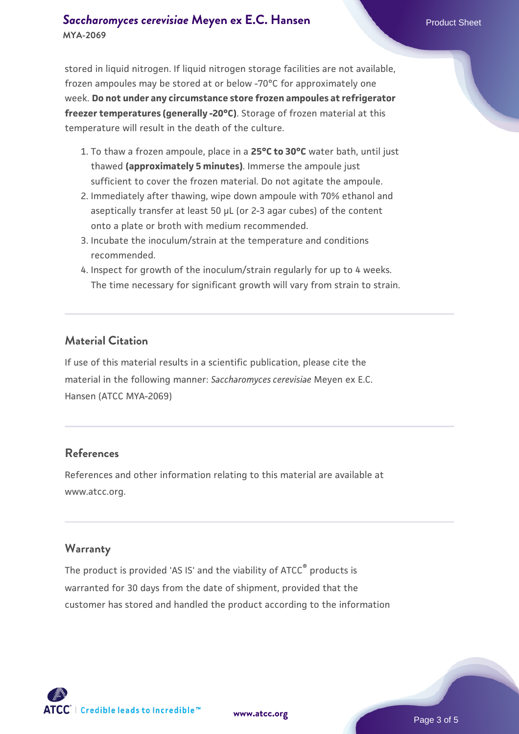#### **[Saccharomyces cerevisiae](https://www.atcc.org/products/mya-2069)** [Meyen ex E.C. Hansen](https://www.atcc.org/products/mya-2069) **MYA-2069**

stored in liquid nitrogen. If liquid nitrogen storage facilities are not available, frozen ampoules may be stored at or below -70°C for approximately one week. **Do not under any circumstance store frozen ampoules at refrigerator freezer temperatures (generally -20°C)**. Storage of frozen material at this temperature will result in the death of the culture.

- 1. To thaw a frozen ampoule, place in a **25°C to 30°C** water bath, until just thawed **(approximately 5 minutes)**. Immerse the ampoule just sufficient to cover the frozen material. Do not agitate the ampoule.
- 2. Immediately after thawing, wipe down ampoule with 70% ethanol and aseptically transfer at least 50 µL (or 2-3 agar cubes) of the content onto a plate or broth with medium recommended.
- 3. Incubate the inoculum/strain at the temperature and conditions recommended.
- 4. Inspect for growth of the inoculum/strain regularly for up to 4 weeks. The time necessary for significant growth will vary from strain to strain.

#### **Material Citation**

If use of this material results in a scientific publication, please cite the material in the following manner: *Saccharomyces cerevisiae* Meyen ex E.C. Hansen (ATCC MYA-2069)

#### **References**

References and other information relating to this material are available at www.atcc.org.

#### **Warranty**

The product is provided 'AS IS' and the viability of ATCC® products is warranted for 30 days from the date of shipment, provided that the customer has stored and handled the product according to the information

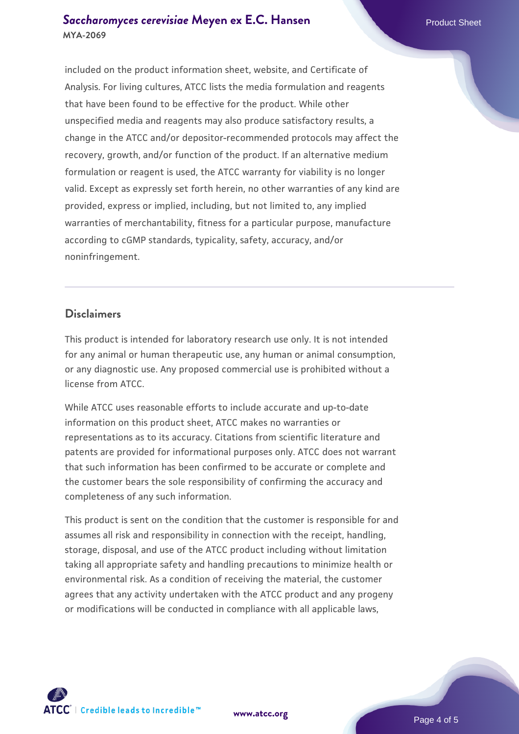#### **[Saccharomyces cerevisiae](https://www.atcc.org/products/mya-2069)** [Meyen ex E.C. Hansen](https://www.atcc.org/products/mya-2069) **MYA-2069**

included on the product information sheet, website, and Certificate of Analysis. For living cultures, ATCC lists the media formulation and reagents that have been found to be effective for the product. While other unspecified media and reagents may also produce satisfactory results, a change in the ATCC and/or depositor-recommended protocols may affect the recovery, growth, and/or function of the product. If an alternative medium formulation or reagent is used, the ATCC warranty for viability is no longer valid. Except as expressly set forth herein, no other warranties of any kind are provided, express or implied, including, but not limited to, any implied warranties of merchantability, fitness for a particular purpose, manufacture according to cGMP standards, typicality, safety, accuracy, and/or noninfringement.

#### **Disclaimers**

This product is intended for laboratory research use only. It is not intended for any animal or human therapeutic use, any human or animal consumption, or any diagnostic use. Any proposed commercial use is prohibited without a license from ATCC.

While ATCC uses reasonable efforts to include accurate and up-to-date information on this product sheet, ATCC makes no warranties or representations as to its accuracy. Citations from scientific literature and patents are provided for informational purposes only. ATCC does not warrant that such information has been confirmed to be accurate or complete and the customer bears the sole responsibility of confirming the accuracy and completeness of any such information.

This product is sent on the condition that the customer is responsible for and assumes all risk and responsibility in connection with the receipt, handling, storage, disposal, and use of the ATCC product including without limitation taking all appropriate safety and handling precautions to minimize health or environmental risk. As a condition of receiving the material, the customer agrees that any activity undertaken with the ATCC product and any progeny or modifications will be conducted in compliance with all applicable laws,



**[www.atcc.org](http://www.atcc.org)**

Page 4 of 5